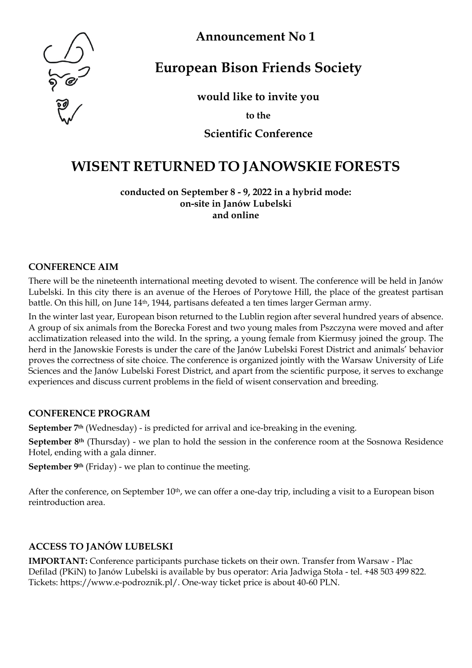

**Announcement No 1**

# **European Bison Friends Society**

**would like to invite you**

**to the**

**Scientific Conference**

# **WISENT RETURNED TO JANOWSKIE FORESTS**

**conducted on September 8 - 9, 2022 in a hybrid mode: on-site in Janów Lubelski and online**

#### **CONFERENCE AIM**

There will be the nineteenth international meeting devoted to wisent. The conference will be held in Janów Lubelski. In this city there is an avenue of the Heroes of Porytowe Hill, the place of the greatest partisan battle. On this hill, on June 14th, 1944, partisans defeated a ten times larger German army.

In the winter last year, European bison returned to the Lublin region after several hundred years of absence. A group of six animals from the Borecka Forest and two young males from Pszczyna were moved and after acclimatization released into the wild. In the spring, a young female from Kiermusy joined the group. The herd in the Janowskie Forests is under the care of the Janów Lubelski Forest District and animals' behavior proves the correctness of site choice. The conference is organized jointly with the Warsaw University of Life Sciences and the Janów Lubelski Forest District, and apart from the scientific purpose, it serves to exchange experiences and discuss current problems in the field of wisent conservation and breeding.

# **CONFERENCE PROGRAM**

**September 7th** (Wednesday) - is predicted for arrival and ice-breaking in the evening.

**September 8<sup>th</sup>** (Thursday) - we plan to hold the session in the conference room at the Sosnowa Residence Hotel, ending with a gala dinner.

**September 9th** (Friday) - we plan to continue the meeting.

After the conference, on September 10<sup>th</sup>, we can offer a one-day trip, including a visit to a European bison reintroduction area.

# **ACCESS TO JANÓW LUBELSKI**

**IMPORTANT:** Conference participants purchase tickets on their own. Transfer from Warsaw - Plac Defilad (PKiN) to Janów Lubelski is available by bus operator: Aria Jadwiga Stoła - tel. +48 503 499 822. Tickets: https://www.e-podroznik.pl/. One-way ticket price is about 40-60 PLN.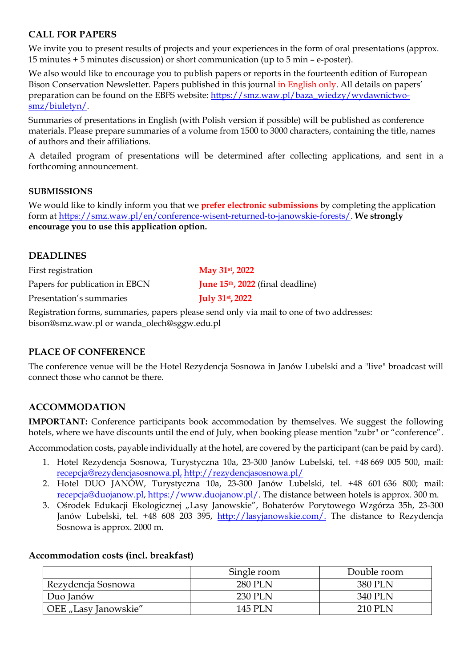# **CALL FOR PAPERS**

We invite you to present results of projects and your experiences in the form of oral presentations (approx. 15 minutes + 5 minutes discussion) or short communication (up to 5 min – e-poster).

We also would like to encourage you to publish papers or reports in the fourteenth edition of European Bison Conservation Newsletter. Papers published in this journal in English only. All details on papers' preparation can be found on the EBFS website: [https://smz.waw.pl/baza\\_wiedzy/wydawnictwo](https://smz.waw.pl/baza_wiedzy/wydawnictwo-smz/biuletyn/)[smz/biuletyn/.](https://smz.waw.pl/baza_wiedzy/wydawnictwo-smz/biuletyn/)

Summaries of presentations in English (with Polish version if possible) will be published as conference materials. Please prepare summaries of a volume from 1500 to 3000 characters, containing the title, names of authors and their affiliations.

A detailed program of presentations will be determined after collecting applications, and sent in a forthcoming announcement.

#### **SUBMISSIONS**

We would like to kindly inform you that we **prefer electronic submissions** by completing the application form at [https://smz.waw.pl/en/conference-wisent-returned-to-janowskie-forests/.](https://smz.waw.pl/en/conference-wisent-returned-to-janowskie-forests/) **We strongly encourage you to use this application option.**

#### **DEADLINES**

| First registration             | May $31$ <sup>st</sup> , 2022           |
|--------------------------------|-----------------------------------------|
| Papers for publication in EBCN | <b>June 15th, 2022</b> (final deadline) |
| Presentation's summaries       | <b>July 31st, 2022</b>                  |

Registration forms, summaries, papers please send only via mail to one of two addresse[s:](mailto:bison@smz.waw.pl) [bison@smz.waw.pl](mailto:bison@smz.waw.pl) o[r wanda\\_olech@sggw.edu.pl](mailto:wanda_olech@sggw.edu.pl)

#### **PLACE OF CONFERENCE**

The conference venue will be the Hotel Rezydencja Sosnowa in Janów Lubelski and a "live" broadcast will connect those who cannot be there.

# **ACCOMMODATION**

**IMPORTANT:** Conference participants book accommodation by themselves. We suggest the following hotels, where we have discounts until the end of July, when booking please mention "zubr" or "conference".

Accommodation costs, payable individually at the hotel, are covered by the participant (can be paid by card).

- 1. Hotel Rezydencja Sosnowa, Turystyczna 10a, 23-300 Janów Lubelski, tel. +48 669 005 500, mail: [recepcja@rezydencjasosnowa.pl,](mailto:recepcja@rezydencjasosnowa.pl) <http://rezydencjasosnowa.pl/>
- 2. Hotel DUO JANÓW, Turystyczna 10a, 23-300 Janów Lubelski, tel. +48 601 636 800; mail: [recepcja@duojanow.pl,](mailto:recepcja@duojanow.pl) [https://www.duojanow.pl/.](https://www.duojanow.pl/) The distance between hotels is approx. 300 m.
- 3. Ośrodek Edukacji Ekologicznej "Lasy Janowskie", Bohaterów Porytowego Wzgórza 35h, 23-300 Janów Lubelski, tel. +48 608 203 395, [http://lasyjanowskie.com/.](http://lasyjanowskie.com/) The distance to Rezydencja Sosnowa is approx. 2000 m.

#### **Accommodation costs (incl. breakfast)**

|                      | Single room    | Double room |
|----------------------|----------------|-------------|
| Rezydencja Sosnowa   | <b>280 PLN</b> | 380 PLN     |
| Duo Janów            | 230 PLN        | 340 PLN     |
| OEE "Lasy Janowskie" | 145 PLN        | 210 PLN     |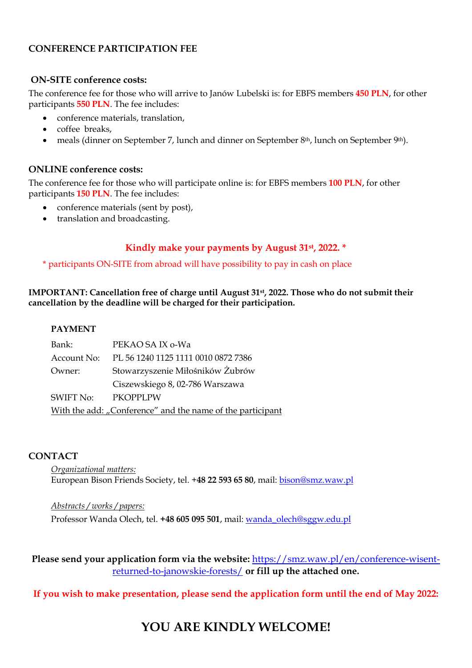#### **CONFERENCE PARTICIPATION FEE**

#### **ON-SITE conference costs:**

The conference fee for those who will arrive to Janów Lubelski is: for EBFS members **450 PLN**, for other participants **550 PLN**. The fee includes:

- conference materials, translation,
- coffee breaks,
- meals (dinner on September 7, lunch and dinner on September 8<sup>th</sup>, lunch on September 9<sup>th</sup>).

#### **ONLINE conference costs:**

The conference fee for those who will participate online is: for EBFS members **100 PLN**, for other participants **150 PLN**. The fee includes:

- conference materials (sent by post),
- translation and broadcasting.

# **Kindly make your payments by August 31st, 2022. \***

#### \* participants ON-SITE from abroad will have possibility to pay in cash on place

**IMPORTANT: Cancellation free of charge until August 31st, 2022. Those who do not submit their cancellation by the deadline will be charged for their participation.**

#### **PAYMENT**

| Bank:              | PEKAO SA IX o-Wa                                           |  |  |  |
|--------------------|------------------------------------------------------------|--|--|--|
|                    | Account No: PL 56 1240 1125 1111 0010 0872 7386            |  |  |  |
| Owner:             | Stowarzyszenie Miłośników Żubrów                           |  |  |  |
|                    | Ciszewskiego 8, 02-786 Warszawa                            |  |  |  |
| SWIFT No: PKOPPLPW |                                                            |  |  |  |
|                    | With the add: "Conference" and the name of the participant |  |  |  |

#### **CONTACT**

*Organizational matters:* European Bison Friends Society, tel. +**48 22 593 65 80**, mail: bison@smz.waw.pl

*Abstracts / works / papers:* Professor Wanda Olech, tel. **+48 605 095 501**, mail: wanda\_olech@sggw.edu.pl

**Please send your application form via the website:** [https://smz.waw.pl/en/conference-wisent](https://smz.waw.pl/en/conference-wisent-returned-to-janowskie-forests/)[returned-to-janowskie-forests/](https://smz.waw.pl/en/conference-wisent-returned-to-janowskie-forests/) **or fill up the attached one.**

# **If you wish to make presentation, please send the application form until the end of May 2022:**

# **YOU ARE KINDLY WELCOME!**